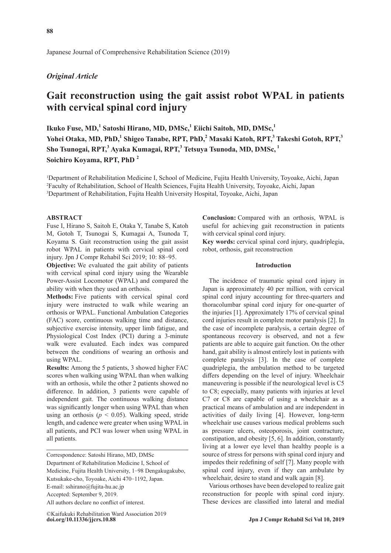Japanese Journal of Comprehensive Rehabilitation Science (2019)

# *Original Article*

# **Gait reconstruction using the gait assist robot WPAL in patients with cervical spinal cord injury**

 $\bf{I}$ kuko Fuse, MD,<sup>1</sup> Satoshi Hirano, MD, DMSc,<sup>1</sup> Eiichi Saitoh, MD, DMSc,<sup>1</sup> Yohei Otaka, MD, PhD,<sup>1</sup> Shigeo Tanabe, RPT, PhD,<sup>2</sup> Masaki Katoh, RPT,<sup>3</sup> Takeshi Gotoh, RPT,<sup>3</sup> **Sho Tsunogai, RPT,<sup>3</sup> Ayaka Kumagai, RPT,3 Tetsuya Tsunoda, MD, DMSc, 1 Soichiro Koyama, RPT, PhD 2**

1 Department of Rehabilitation Medicine I, School of Medicine, Fujita Health University, Toyoake, Aichi, Japan 2 Faculty of Rehabilitation, School of Health Sciences, Fujita Health University, Toyoake, Aichi, Japan 3 Department of Rehabilitation, Fujita Health University Hospital, Toyoake, Aichi, Japan

# **ABSTRACT**

Fuse I, Hirano S, Saitoh E, Otaka Y, Tanabe S, Katoh M, Gotoh T, Tsunogai S, Kumagai A, Tsunoda T, Koyama S. Gait reconstruction using the gait assist robot WPAL in patients with cervical spinal cord injury. Jpn J Compr Rehabil Sci 2019; 10: 88-95.

**Objective:** We evaluated the gait ability of patients with cervical spinal cord injury using the Wearable Power-Assist Locomotor (WPAL) and compared the ability with when they used an orthosis.

**Methods:** Five patients with cervical spinal cord injury were instructed to walk while wearing an orthosis or WPAL. Functional Ambulation Categories (FAC) score, continuous walking time and distance, subjective exercise intensity, upper limb fatigue, and Physiological Cost Index (PCI) during a 3-minute walk were evaluated. Each index was compared between the conditions of wearing an orthosis and using WPAL.

**Results:** Among the 5 patients, 3 showed higher FAC scores when walking using WPAL than when walking with an orthosis, while the other 2 patients showed no difference. In addition, 3 patients were capable of independent gait. The continuous walking distance was significantly longer when using WPAL than when using an orthosis ( $p < 0.05$ ). Walking speed, stride length, and cadence were greater when using WPAL in all patients, and PCI was lower when using WPAL in all patients.

Correspondence: Satoshi Hirano, MD, DMSc Department of Rehabilitation Medicine I, School of Medicine, Fujita Health University, 1-98 Dengakugakubo, Kutsukake-cho, Toyoake, Aichi 470-1192, Japan. E-mail: sshirano@fujita-hu.ac.jp Accepted: September 9, 2019. All authors declare no conflict of interest.

**Conclusion:** Compared with an orthosis, WPAL is useful for achieving gait reconstruction in patients with cervical spinal cord injury.

**Key words:** cervical spinal cord injury, quadriplegia, robot, orthosis, gait reconstruction

# **Introduction**

The incidence of traumatic spinal cord injury in Japan is approximately 40 per million, with cervical spinal cord injury accounting for three-quarters and thoracolumbar spinal cord injury for one-quarter of the injuries [1]. Approximately 17% of cervical spinal cord injuries result in complete motor paralysis [2]. In the case of incomplete paralysis, a certain degree of spontaneous recovery is observed, and not a few patients are able to acquire gait function. On the other hand, gait ability is almost entirely lost in patients with complete paralysis [3]. In the case of complete quadriplegia, the ambulation method to be targeted differs depending on the level of injury. Wheelchair maneuvering is possible if the neurological level is C5 to C8; especially, many patients with injuries at level C7 or C8 are capable of using a wheelchair as a practical means of ambulation and are independent in activities of daily living [4]. However, long-term wheelchair use causes various medical problems such as pressure ulcers, osteoporosis, joint contracture, constipation, and obesity [5, 6]. In addition, constantly living at a lower eye level than healthy people is a source of stress for persons with spinal cord injury and impedes their redefining of self [7]. Many people with spinal cord injury, even if they can ambulate by wheelchair, desire to stand and walk again [8].

Various orthoses have been developed to realize gait reconstruction for people with spinal cord injury. These devices are classified into lateral and medial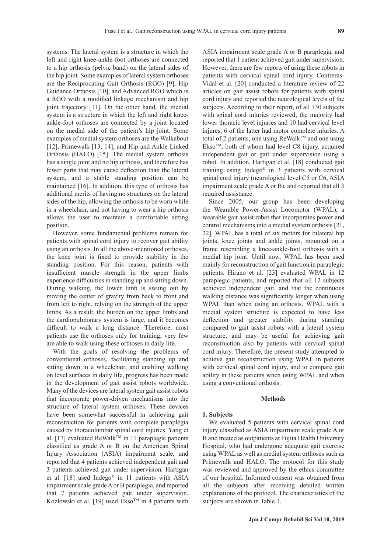systems. The lateral system is a structure in which the left and right knee-ankle-foot orthoses are connected

to a hip orthosis (pelvic band) on the lateral sides of the hip joint. Some examples of lateral system orthoses are the Reciprocating Gait Orthosis (RGO) [9], Hip Guidance Orthosis [10], and Advanced RGO which is a RGO with a modified linkage mechanism and hip joint trajectory [11]. On the other hand, the medial system is a structure in which the left and right kneeankle-foot orthoses are connected by a joint located on the medial side of the patient's hip joint. Some examples of medial system orthoses are the Walkabout [12], Primewalk [13, 14], and Hip and Ankle Linked Orthosis (HALO) [15]. The medial system orthosis has a single joint and no hip orthosis, and therefore has fewer parts that may cause deflection than the lateral system, and a stable standing position can be maintained [16]. In addition, this type of orthosis has additional merits of having no structures on the lateral sides of the hip, allowing the orthosis to be worn while in a wheelchair, and not having to wear a hip orthosis allows the user to maintain a comfortable sitting position.

However, some fundamental problems remain for patients with spinal cord injury to recover gait ability using an orthosis. In all the above-mentioned orthoses, the knee joint is fixed to provide stability in the standing position. For this reason, patients with insufficient muscle strength in the upper limbs experience difficulties in standing up and sitting down. During walking, the lower limb is swung out by moving the center of gravity from back to front and from left to right, relying on the strength of the upper limbs. As a result, the burden on the upper limbs and the cardiopulmonary system is large, and it becomes difficult to walk a long distance. Therefore, most patients use the orthoses only for training; very few are able to walk using these orthoses in daily life.

With the goals of resolving the problems of conventional orthoses, facilitating standing up and sitting down in a wheelchair, and enabling walking on level surfaces in daily life, progress has been made in the development of gait assist robots worldwide. Many of the devices are lateral system gait assist robots that incorporate power-driven mechanisms into the structure of lateral system orthoses. These devices have been somewhat successful in achieving gait reconstruction for patients with complete paraplegia caused by thoracolumbar spinal cord injuries. Yang et al. [17] evaluated  $\text{ReWalk}^{\text{TM}}$  in 11 paraplegic patients classified as grade A or B on the American Spinal Injury Association (ASIA) impairment scale, and reported that 4 patients achieved independent gait and 3 patients achieved gait under supervision. Hartigan et al. [18] used Indego® in 11 patients with ASIA impairment scale grade A or B paraplegia, and reported that 7 patients achieved gait under supervision. Kozlowski et al. [19] used  $E$ kso<sup>TM</sup> in 4 patients with ASIA impairment scale grade A or B paraplegia, and reported that 1 patient achieved gait under supervision. However, there are few reports of using these robots in patients with cervical spinal cord injury. Contreras-Vidal et al. [20] conducted a literature review of 22 articles on gait assist robots for patients with spinal cord injury and reported the neurological levels of the subjects. According to their report, of all 130 subjects with spinal cord injuries reviewed, the majority had lower thoracic level injuries and 10 had cervical level injures, 6 of the latter had motor complete injuries. A total of 2 patients, one using ReWalk™ and one using  $Ekso^{TM}$ , both of whom had level C8 injury, acquired independent gait or gait under supervision using a robot. In addition, Hartigan et al. [18] conducted gait training using Indego® in 3 patients with cervical spinal cord injury (neurological level C5 or C6, ASIA impairment scale grade A or B), and reported that all 3 required assistance.

Since 2005, our group has been developing the Wearable Power-Assist Locomotor (WPAL), a wearable gait assist robot that incorporates power and control mechanisms into a medial system orthosis [21, 22]. WPAL has a total of six motors for bilateral hip joints, knee joints and ankle joints, mounted on a frame resembling a knee-ankle-foot orthosis with a medial hip joint. Until now, WPAL has been used mainly for reconstruction of gait function in paraplegic patients. Hirano et al. [23] evaluated WPAL in 12 paraplegic patients, and reported that all 12 subjects achieved independent gait, and that the continuous walking distance was significantly longer when using WPAL than when using an orthosis. WPAL with a medial system structure is expected to have less deflection and greater stability during standing compared to gait assist robots with a lateral system structure, and may be useful for achieving gait reconstruction also by patients with cervical spinal cord injury. Therefore, the present study attempted to achieve gait reconstruction using WPAL in patients with cervical spinal cord injury, and to compare gait ability in these patients when using WPAL and when using a conventional orthosis.

# **Methods**

#### **1. Subjects**

We evaluated 5 patients with cervical spinal cord injury classified as ASIA impairment scale grade A or B and treated as outpatients at Fujita Health University Hospital, who had undergone adequate gait exercise using WPAL as well as medial system orthoses such as Primewalk and HALO. The protocol for this study was reviewed and approved by the ethics committee of our hospital. Informed consent was obtained from all the subjects after receiving detailed written explanations of the protocol. The characteristics of the subjects are shown in Table 1.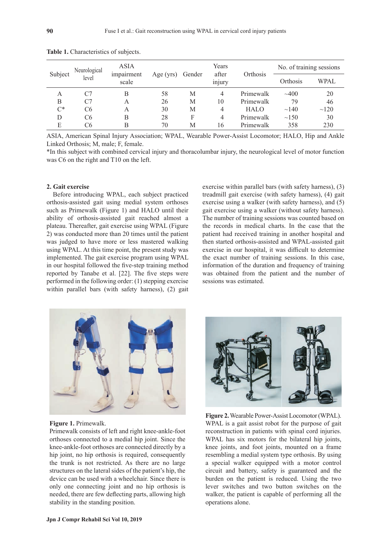| Subject | Neurological<br>level | ASIA<br>impairment<br>scale | Age (yrs) | Gender | Years<br>after<br>$\cdot$ $\cdot$<br>injury | Orthosis    | No. of training sessions |             |
|---------|-----------------------|-----------------------------|-----------|--------|---------------------------------------------|-------------|--------------------------|-------------|
|         |                       |                             |           |        |                                             |             | Orthosis                 | <b>WPAL</b> |
| А       | C7                    | В                           | 58        | М      | 4                                           | Primewalk   | $-400$                   | 20          |
| B       | C7                    | A                           | 26        | M      | 10                                          | Primewalk   | 79                       | 46          |
| $C^*$   | C <sub>6</sub>        | А                           | 30        | M      | 4                                           | <b>HALO</b> | ~140                     | $\sim$ 120  |
| D       | C <sub>6</sub>        | В                           | 28        | F      | 4                                           | Primewalk   | $\sim$ 150               | 30          |
| E       | C6                    | В                           | 70        | M      | 16                                          | Primewalk   | 358                      | 230         |

**Table 1.** Characteristics of subjects.

ASIA, American Spinal Injury Association; WPAL, Wearable Power-Assist Locomotor; HALO, Hip and Ankle Linked Orthosis; M, male; F, female.

\*In this subject with combined cervical injury and thoracolumbar injury, the neurological level of motor function was C6 on the right and T10 on the left.

# **2. Gait exercise**

Before introducing WPAL, each subject practiced orthosis-assisted gait using medial system orthoses such as Primewalk (Figure 1) and HALO until their ability of orthosis-assisted gait reached almost a plateau. Thereafter, gait exercise using WPAL (Figure 2) was conducted more than 20 times until the patient was judged to have more or less mastered walking using WPAL. At this time point, the present study was implemented. The gait exercise program using WPAL in our hospital followed the five-step training method reported by Tanabe et al. [22]. The five steps were performed in the following order: (1) stepping exercise within parallel bars (with safety harness), (2) gait exercise within parallel bars (with safety harness), (3) treadmill gait exercise (with safety harness), (4) gait exercise using a walker (with safety harness), and (5) gait exercise using a walker (without safety harness). The number of training sessions was counted based on the records in medical charts. In the case that the patient had received training in another hospital and then started orthosis-assisted and WPAL-assisted gait exercise in our hospital, it was difficult to determine the exact number of training sessions. In this case, information of the duration and frequency of training was obtained from the patient and the number of sessions was estimated.



#### **Figure 1.** Primewalk.

Primewalk consists of left and right knee-ankle-foot orthoses connected to a medial hip joint. Since the knee-ankle-foot orthoses are connected directly by a hip joint, no hip orthosis is required, consequently the trunk is not restricted. As there are no large structures on the lateral sides of the patient's hip, the device can be used with a wheelchair. Since there is only one connecting joint and no hip orthosis is needed, there are few deflecting parts, allowing high stability in the standing position.



**Figure 2.** Wearable Power-Assist Locomotor (WPAL). WPAL is a gait assist robot for the purpose of gait reconstruction in patients with spinal cord injuries. WPAL has six motors for the bilateral hip joints, knee joints, and foot joints, mounted on a frame resembling a medial system type orthosis. By using a special walker equipped with a motor control circuit and battery, safety is guaranteed and the burden on the patient is reduced. Using the two lever switches and two button switches on the walker, the patient is capable of performing all the operations alone.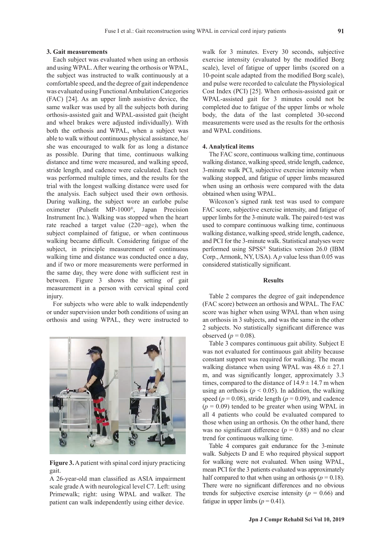#### **3. Gait measurements**

Each subject was evaluated when using an orthosis and using WPAL. After wearing the orthosis or WPAL, the subject was instructed to walk continuously at a comfortable speed, and the degree of gait independence was evaluated using Functional Ambulation Categories (FAC) [24]. As an upper limb assistive device, the same walker was used by all the subjects both during orthosis-assisted gait and WPAL-assisted gait (height and wheel brakes were adjusted individually). With both the orthosis and WPAL, when a subject was able to walk without continuous physical assistance, he/ she was encouraged to walk for as long a distance as possible. During that time, continuous walking distance and time were measured, and walking speed, stride length, and cadence were calculated. Each test was performed multiple times, and the results for the trial with the longest walking distance were used for the analysis. Each subject used their own orthosis. During walking, the subject wore an earlobe pulse oximeter (Pulsefit MP-1000®, Japan Precision Instrument Inc.). Walking was stopped when the heart rate reached a target value (220−age), when the subject complained of fatigue, or when continuous walking became difficult. Considering fatigue of the subject, in principle measurement of continuous walking time and distance was conducted once a day, and if two or more measurements were performed in the same day, they were done with sufficient rest in between. Figure 3 shows the setting of gait measurement in a person with cervical spinal cord injury.

For subjects who were able to walk independently or under supervision under both conditions of using an orthosis and using WPAL, they were instructed to



**Figure 3.** A patient with spinal cord injury practicing gait.

A 26-year-old man classified as ASIA impairment scale grade A with neurological level C7. Left: using Primewalk; right: using WPAL and walker. The patient can walk independently using either device.

walk for 3 minutes. Every 30 seconds, subjective exercise intensity (evaluated by the modified Borg scale), level of fatigue of upper limbs (scored on a 10-point scale adapted from the modified Borg scale), and pulse were recorded to calculate the Physiological Cost Index (PCI) [25]. When orthosis-assisted gait or WPAL-assisted gait for 3 minutes could not be completed due to fatigue of the upper limbs or whole body, the data of the last completed 30-second measurements were used as the results for the orthosis and WPAL conditions.

### **4. Analytical items**

The FAC score, continuous walking time, continuous walking distance, walking speed, stride length, cadence, 3-minute walk PCI, subjective exercise intensity when walking stopped, and fatigue of upper limbs measured when using an orthosis were compared with the data obtained when using WPAL.

Wilcoxon's signed rank test was used to compare FAC score, subjective exercise intensity, and fatigue of upper limbs for the 3-minute walk. The paired t-test was used to compare continuous walking time, continuous walking distance, walking speed, stride length, cadence, and PCI for the 3-minute walk. Statistical analyses were performed using SPSS® Statistics version 26.0 (IBM Corp., Armonk, NY, USA). A *p* value less than 0.05 was considered statistically significant.

# **Results**

Table 2 compares the degree of gait independence (FAC score) between an orthosis and WPAL. The FAC score was higher when using WPAL than when using an orthosis in 3 subjects, and was the same in the other 2 subjects. No statistically significant difference was observed ( $p = 0.08$ ).

Table 3 compares continuous gait ability. Subject E was not evaluated for continuous gait ability because constant support was required for walking. The mean walking distance when using WPAL was  $48.6 \pm 27.1$ m, and was significantly longer, approximately 3.3 times, compared to the distance of  $14.9 \pm 14.7$  m when using an orthosis ( $p < 0.05$ ). In addition, the walking speed ( $p = 0.08$ ), stride length ( $p = 0.09$ ), and cadence  $(p = 0.09)$  tended to be greater when using WPAL in all 4 patients who could be evaluated compared to those when using an orthosis. On the other hand, there was no significant difference ( $p = 0.88$ ) and no clear trend for continuous walking time.

Table 4 compares gait endurance for the 3-minute walk. Subjects D and E who required physical support for walking were not evaluated. When using WPAL, mean PCI for the 3 patients evaluated was approximately half compared to that when using an orthosis ( $p = 0.18$ ). There were no significant differences and no obvious trends for subjective exercise intensity  $(p = 0.66)$  and fatigue in upper limbs  $(p = 0.41)$ .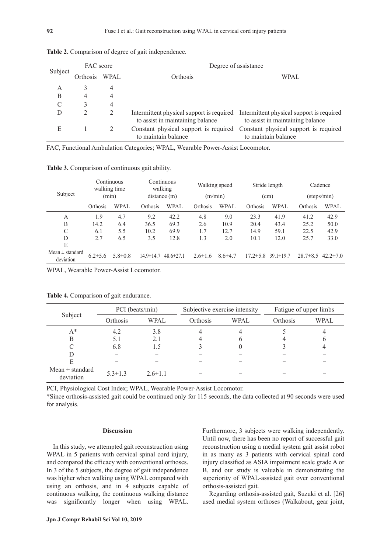| Subject | FAC score         |   | Degree of assistance             |                                                                                                                         |  |  |  |
|---------|-------------------|---|----------------------------------|-------------------------------------------------------------------------------------------------------------------------|--|--|--|
|         | WPAL.<br>Orthosis |   | Orthosis                         | WPAL                                                                                                                    |  |  |  |
| А       |                   | 4 |                                  |                                                                                                                         |  |  |  |
| B       |                   | 4 |                                  |                                                                                                                         |  |  |  |
|         |                   | 4 |                                  |                                                                                                                         |  |  |  |
|         |                   | 2 | to assist in maintaining balance | Intermittent physical support is required Intermittent physical support is required<br>to assist in maintaining balance |  |  |  |
| Е       |                   |   | to maintain balance              | Constant physical support is required Constant physical support is required<br>to maintain balance                      |  |  |  |

**Table 2.** Comparison of degree of gait independence.

FAC, Functional Ambulation Categories; WPAL, Wearable Power-Assist Locomotor.

**Table 3.** Comparison of continuous gait ability.

|                                  | Continuous<br>walking time<br>(min) |               | Continuous<br>walking<br>distance(m) |                 | Walking speed<br>(m/min) |               | Stride length<br>(cm) |                 | Cadence      |                |
|----------------------------------|-------------------------------------|---------------|--------------------------------------|-----------------|--------------------------|---------------|-----------------------|-----------------|--------------|----------------|
| Subject                          |                                     |               |                                      |                 |                          |               |                       |                 | (steps/min)  |                |
|                                  | Orthosis                            | <b>WPAL</b>   | Orthosis                             | <b>WPAL</b>     | Orthosis                 | WPAL          | Orthosis              | <b>WPAL</b>     | Orthosis     | <b>WPAL</b>    |
| А                                | 1.9                                 | 4.7           | 9.2                                  | 42.2            | 4.8                      | 9.0           | 23.3                  | 41.9            | 41.2         | 42.9           |
| B                                | 14.2                                | 6.4           | 36.5                                 | 69.3            | 2.6                      | 10.9          | 20.4                  | 43.4            | 25.2         | 50.0           |
| C                                | 6.1                                 | 5.5           | 10.2                                 | 69.9            | 1.7                      | 12.7          | 14.9                  | 59.1            | 22.5         | 42.9           |
| D                                | 2.7                                 | 6.5           | 3.5                                  | 12.8            | 1.3                      | 2.0           | 10.1                  | 12.0            | 25.7         | 33.0           |
| E                                |                                     |               |                                      |                 |                          |               |                       |                 |              |                |
| Mean $\pm$ standard<br>deviation | $6.2 \pm 5.6$                       | $5.8 \pm 0.8$ | $14.9 \pm 14.7$                      | $48.6 \pm 27.1$ | $2.6 \pm 1.6$            | $8.6{\pm}4.7$ | $17.2 \pm 5.8$        | $39.1 \pm 19.7$ | $28.7\pm8.5$ | $42.2 \pm 7.0$ |

WPAL, Wearable Power-Assist Locomotor.

|                                  | PCI (beats/min) |               | Subjective exercise intensity |             | Fatigue of upper limbs |             |  |
|----------------------------------|-----------------|---------------|-------------------------------|-------------|------------------------|-------------|--|
| Subject                          | Orthosis        | <b>WPAL</b>   | Orthosis                      | <b>WPAL</b> | Orthosis               | <b>WPAL</b> |  |
| $A^*$                            | 4.2             | 3.8           | 4                             | 4           |                        |             |  |
| В                                | 5.1             | 2.1           |                               | h           |                        | O           |  |
| C                                | 6.8             | 1.5           |                               |             |                        |             |  |
| D                                |                 |               |                               |             |                        |             |  |
|                                  |                 |               |                               |             |                        |             |  |
| Mean $\pm$ standard<br>deviation | $5.3 \pm 1.3$   | $2.6 \pm 1.1$ |                               |             |                        |             |  |

**Table 4.** Comparison of gait endurance.

PCI, Physiological Cost Index; WPAL, Wearable Power-Assist Locomotor.

\*Since orthosis-assisted gait could be continued only for 115 seconds, the data collected at 90 seconds were used for analysis.

#### **Discussion**

In this study, we attempted gait reconstruction using WPAL in 5 patients with cervical spinal cord injury, and compared the efficacy with conventional orthoses. In 3 of the 5 subjects, the degree of gait independence was higher when walking using WPAL compared with using an orthosis, and in 4 subjects capable of continuous walking, the continuous walking distance was significantly longer when using WPAL. Furthermore, 3 subjects were walking independently. Until now, there has been no report of successful gait reconstruction using a medial system gait assist robot in as many as 3 patients with cervical spinal cord injury classified as ASIA impairment scale grade A or B, and our study is valuable in demonstrating the superiority of WPAL-assisted gait over conventional orthosis-assisted gait.

Regarding orthosis-assisted gait, Suzuki et al. [26] used medial system orthoses (Walkabout, gear joint,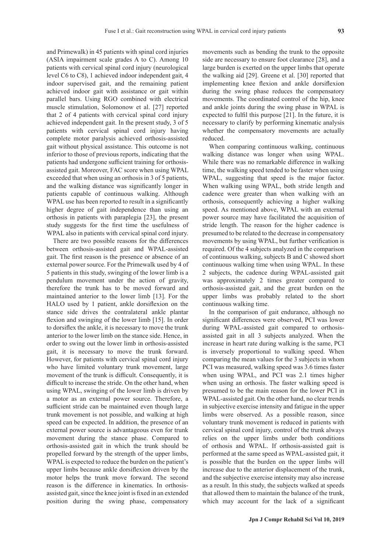and Primewalk) in 45 patients with spinal cord injuries (ASIA impairment scale grades A to C). Among 10 patients with cervical spinal cord injury (neurological level C6 to C8), 1 achieved indoor independent gait, 4 indoor supervised gait, and the remaining patient achieved indoor gait with assistance or gait within parallel bars. Using RGO combined with electrical muscle stimulation, Solomonow et al. [27] reported that 2 of 4 patients with cervical spinal cord injury achieved independent gait. In the present study, 3 of 5 patients with cervical spinal cord injury having complete motor paralysis achieved orthosis-assisted gait without physical assistance. This outcome is not inferior to those of previous reports, indicating that the patients had undergone sufficient training for orthosisassisted gait. Moreover, FAC score when using WPAL exceeded that when using an orthosis in 3 of 5 patients, and the walking distance was significantly longer in patients capable of continuous walking. Although WPAL use has been reported to result in a significantly higher degree of gait independence than using an orthosis in patients with paraplegia [23], the present study suggests for the first time the usefulness of WPAL also in patients with cervical spinal cord injury.

There are two possible reasons for the differences between orthosis-assisted gait and WPAL-assisted gait. The first reason is the presence or absence of an external power source. For the Primewalk used by 4 of 5 patients in this study, swinging of the lower limb is a pendulum movement under the action of gravity, therefore the trunk has to be moved forward and maintained anterior to the lower limb [13]. For the HALO used by 1 patient, ankle dorsiflexion on the stance side drives the contralateral ankle plantar flexion and swinging of the lower limb [15]. In order to dorsiflex the ankle, it is necessary to move the trunk anterior to the lower limb on the stance side. Hence, in order to swing out the lower limb in orthosis-assisted gait, it is necessary to move the trunk forward. However, for patients with cervical spinal cord injury who have limited voluntary trunk movement, large movement of the trunk is difficult. Consequently, it is difficult to increase the stride. On the other hand, when using WPAL, swinging of the lower limb is driven by a motor as an external power source. Therefore, a sufficient stride can be maintained even though large trunk movement is not possible, and walking at high speed can be expected. In addition, the presence of an external power source is advantageous even for trunk movement during the stance phase. Compared to orthosis-assisted gait in which the trunk should be propelled forward by the strength of the upper limbs, WPAL is expected to reduce the burden on the patient's upper limbs because ankle dorsiflexion driven by the motor helps the trunk move forward. The second reason is the difference in kinematics. In orthosisassisted gait, since the knee joint is fixed in an extended position during the swing phase, compensatory

movements such as bending the trunk to the opposite side are necessary to ensure foot clearance [28], and a large burden is exerted on the upper limbs that operate the walking aid [29]. Greene et al. [30] reported that implementing knee flexion and ankle dorsiflexion during the swing phase reduces the compensatory movements. The coordinated control of the hip, knee and ankle joints during the swing phase in WPAL is expected to fulfil this purpose [21]. In the future, it is necessary to clarify by performing kinematic analysis whether the compensatory movements are actually reduced.

When comparing continuous walking, continuous walking distance was longer when using WPAL. While there was no remarkable difference in walking time, the walking speed tended to be faster when using WPAL, suggesting that speed is the major factor. When walking using WPAL, both stride length and cadence were greater than when walking with an orthosis, consequently achieving a higher walking speed. As mentioned above, WPAL with an external power source may have facilitated the acquisition of stride length. The reason for the higher cadence is presumed to be related to the decrease in compensatory movements by using WPAL, but further verification is required. Of the 4 subjects analyzed in the comparison of continuous walking, subjects B and C showed short continuous walking time when using WPAL. In these 2 subjects, the cadence during WPAL-assisted gait was approximately 2 times greater compared to orthosis-assisted gait, and the great burden on the upper limbs was probably related to the short continuous walking time.

In the comparison of gait endurance, although no significant differences were observed, PCI was lower during WPAL-assisted gait compared to orthosisassisted gait in all 3 subjects analyzed. When the increase in heart rate during walking is the same, PCI is inversely proportional to walking speed. When comparing the mean values for the 3 subjects in whom PCI was measured, walking speed was 3.6 times faster when using WPAL, and PCI was 2.1 times higher when using an orthosis. The faster walking speed is presumed to be the main reason for the lower PCI in WPAL-assisted gait. On the other hand, no clear trends in subjective exercise intensity and fatigue in the upper limbs were observed. As a possible reason, since voluntary trunk movement is reduced in patients with cervical spinal cord injury, control of the trunk always relies on the upper limbs under both conditions of orthosis and WPAL. If orthosis-assisted gait is performed at the same speed as WPAL-assisted gait, it is possible that the burden on the upper limbs will increase due to the anterior displacement of the trunk, and the subjective exercise intensity may also increase as a result. In this study, the subjects walked at speeds that allowed them to maintain the balance of the trunk, which may account for the lack of a significant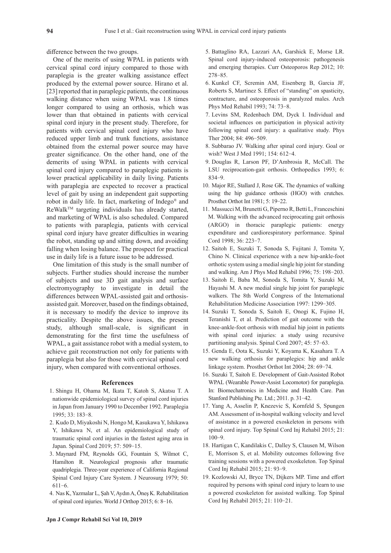difference between the two groups.

One of the merits of using WPAL in patients with cervical spinal cord injury compared to those with paraplegia is the greater walking assistance effect produced by the external power source. Hirano et al. [23] reported that in paraplegic patients, the continuous walking distance when using WPAL was 1.8 times longer compared to using an orthosis, which was lower than that obtained in patients with cervical spinal cord injury in the present study. Therefore, for patients with cervical spinal cord injury who have reduced upper limb and trunk functions, assistance obtained from the external power source may have greater significance. On the other hand, one of the demerits of using WPAL in patients with cervical spinal cord injury compared to paraplegic patients is lower practical applicability in daily living. Patients with paraplegia are expected to recover a practical level of gait by using an independent gait supporting robot in daily life. In fact, marketing of Indego® and ReWalkTM targeting individuals has already started, and marketing of WPAL is also scheduled. Compared to patients with paraplegia, patients with cervical spinal cord injury have greater difficulties in wearing the robot, standing up and sitting down, and avoiding falling when losing balance. The prospect for practical use in daily life is a future issue to be addressed.

One limitation of this study is the small number of subjects. Further studies should increase the number of subjects and use 3D gait analysis and surface electromyography to investigate in detail the differences between WPAL-assisted gait and orthosisassisted gait. Moreover, based on the findings obtained, it is necessary to modify the device to improve its practicality. Despite the above issues, the present study, although small-scale, is significant in demonstrating for the first time the usefulness of WPAL, a gait assistance robot with a medial system, to achieve gait reconstruction not only for patients with paraplegia but also for those with cervical spinal cord injury, when compared with conventional orthoses.

#### **References**

- 1. Shingu H, Ohama M, Ikata T, Katoh S, Akatsu T. A nationwide epidemiological survey of spinal cord injuries in Japan from January 1990 to December 1992. Paraplegia 1995; 33: 183-8.
- 2. Kudo D, Miyakoshi N, Hongo M, Kasukawa Y, Ishikawa Y, Ishikawa N, et al. An epidemiological study of traumatic spinal cord injuries in the fastest aging area in Japan. Spinal Cord 2019; 57: 509-15.
- 3. Maynard FM, Reynolds GG, Fountain S, Wilmot C, Hamilton R. Neurological prognosis after traumatic quadriplegia. Three-year experience of California Regional Spinal Cord Injury Care System. J Neurosurg 1979; 50: 611-6.
- 4. Nas K, Yazmalar L, Şah V, Aydın A, Öneş K. Rehabilitation of spinal cord injuries. World J Orthop 2015; 6: 8-16.
- 5. Battaglino RA, Lazzari AA, Garshick E, Morse LR. Spinal cord injury-induced osteoporosis: pathogenesis and emerging therapies. Curr Osteoporos Rep 2012; 10: 278-85.
- 6. Kunkel CF, Scremin AM, Eisenberg B, Garcia JF, Roberts S, Martinez S. Effect of "standing" on spasticity, contracture, and osteoporosis in paralyzed males. Arch Phys Med Rehabil 1993; 74: 73-8.
- 7. Levins SM, Redenbach DM, Dyck I. Individual and societal influences on participation in physical activity following spinal cord injury: a qualitative study. Phys Ther 2004; 84: 496-509.
- 8. Subbarao JV. Walking after spinal cord injury. Goal or wish? West J Med 1991; 154: 612-4.
- 9. Douglas R, Larson PF, D'Ambrosia R, McCall. The LSU reciprocation-gait orthosis. Orthopedics 1993; 6: 834-9.
- 10. Major RE, Stallard J, Rose GK. The dynamics of walking using the hip guidance orthosis (HGO) with crutches. Prosthet Orthot Int 1981; 5: 19-22.
- 11. Massucci M, Brunetti G, Piperno R, Betti L, Franceschini M. Walking with the advanced reciprocating gait orthosis (ARGO) in thoracic paraplegic patients: energy expenditure and cardiorespiratory performance. Spinal Cord 1998; 36: 223-7.
- 12. Saitoh E, Suzuki T, Sonoda S, Fujitani J, Tomita Y, Chino N. Clinical experience with a new hip-ankle-foot orthotic system using a medial single hip joint for standing and walking. Am J Phys Med Rehabil 1996; 75: 198-203.
- 13. Saitoh E, Baba M, Sonoda S, Tomita Y, Suzuki M, Hayashi M. A new medial single hip joint for paraplegic walkers. The 8th World Congress of the International Rehabilitation Medicine Association 1997: 1299-305.
- 14. Suzuki T, Sonoda S, Saitoh E, Onogi K, Fujino H, Teranishi T, et al. Prediction of gait outcome with the knee-ankle-foot orthosis with medial hip joint in patients with spinal cord injuries: a study using recursive partitioning analysis. Spinal Cord 2007; 45: 57-63.
- 15. Genda E, Oota K, Suzuki Y, Koyama K, Kasahara T. A new walking orthosis for paraplegics: hip and ankle linkage system. Prosthet Orthot Int 2004; 28: 69-74.
- 16. Suzuki T, Saitoh E. Development of Gait-Assisted Robot WPAL (Wearable Power-Assist Locomotor) for paraplegia. In: Biomechatronics in Medicine and Health Care. Pan Stanford Publishing Pte. Ltd.; 2011. p. 31-42.
- 17. Yang A, Asselin P, Knezevic S, Kornfeld S, Spungen AM. Assessment of in-hospital walking velocity and level of assistance in a powered exoskeleton in persons with spinal cord injury. Top Spinal Cord Inj Rehabil 2015; 21: 100-9.
- 18. Hartigan C, Kandilakis C, Dalley S, Clausen M, Wilson E, Morrison S, et al. Mobility outcomes following five training sessions with a powered exoskeleton. Top Spinal Cord Inj Rehabil 2015; 21: 93-9.
- 19. Kozlowski AJ, Bryce TN, Dijkers MP. Time and effort required by persons with spinal cord injury to learn to use a powered exoskeleton for assisted walking. Top Spinal Cord Inj Rehabil 2015; 21: 110-21.